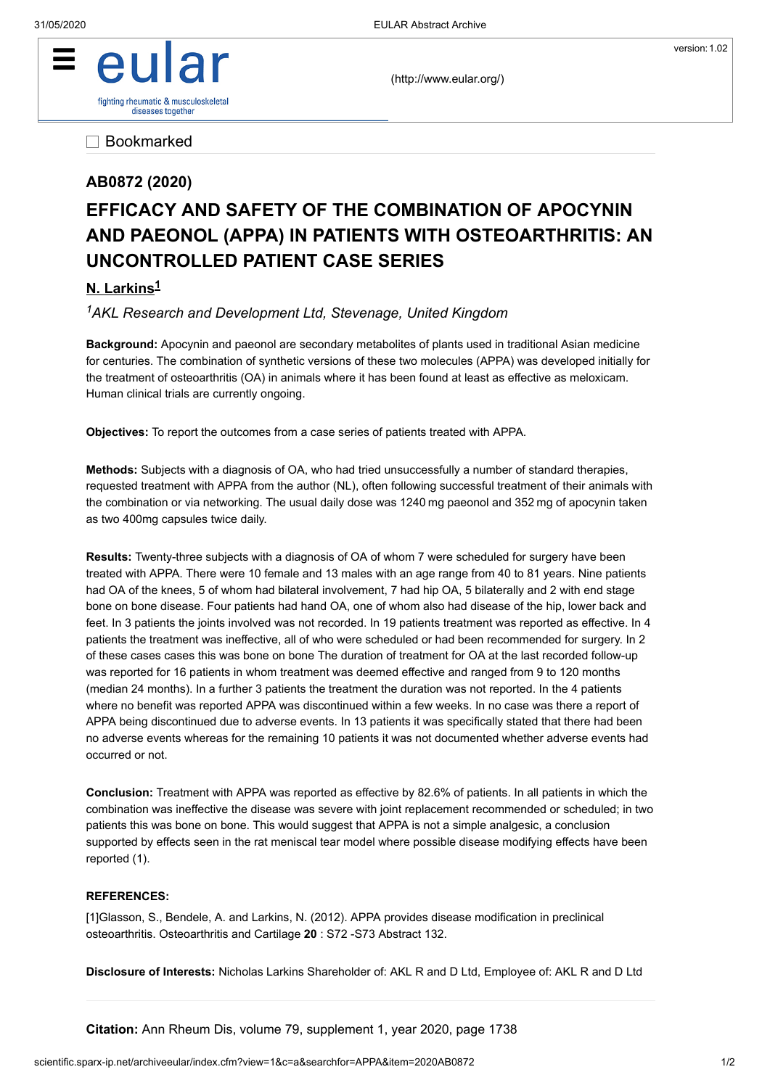

[\(http://www.eular.org/\)](http://www.eular.org/)

Bookmarked

## **AB0872 (2020)**

## **EFFICACY AND SAFETY OF THE COMBINATION OF APOCYNIN AND PAEONOL (APPA) IN PATIENTS WITH OSTEOARTHRITIS: AN UNCONTROLLED PATIENT CASE SERIES**

## **N. Larkins 1**

*AKL Research and Development Ltd, Stevenage, United Kingdom 1*

**Background:** Apocynin and paeonol are secondary metabolites of plants used in traditional Asian medicine for centuries. The combination of synthetic versions of these two molecules (APPA) was developed initially for the treatment of osteoarthritis (OA) in animals where it has been found at least as effective as meloxicam. Human clinical trials are currently ongoing.

**Objectives:** To report the outcomes from a case series of patients treated with APPA.

**Methods:** Subjects with a diagnosis of OA, who had tried unsuccessfully a number of standard therapies, requested treatment with APPA from the author (NL), often following successful treatment of their animals with the combination or via networking. The usual daily dose was 1240 mg paeonol and 352 mg of apocynin taken as two 400mg capsules twice daily.

**Results:** Twenty-three subjects with a diagnosis of OA of whom 7 were scheduled for surgery have been treated with APPA. There were 10 female and 13 males with an age range from 40 to 81 years. Nine patients had OA of the knees, 5 of whom had bilateral involvement, 7 had hip OA, 5 bilaterally and 2 with end stage bone on bone disease. Four patients had hand OA, one of whom also had disease of the hip, lower back and feet. In 3 patients the joints involved was not recorded. In 19 patients treatment was reported as effective. In 4 patients the treatment was ineffective, all of who were scheduled or had been recommended for surgery. In 2 of these cases cases this was bone on bone The duration of treatment for OA at the last recorded follow-up was reported for 16 patients in whom treatment was deemed effective and ranged from 9 to 120 months (median 24 months). In a further 3 patients the treatment the duration was not reported. In the 4 patients where no benefit was reported APPA was discontinued within a few weeks. In no case was there a report of APPA being discontinued due to adverse events. In 13 patients it was specifically stated that there had been no adverse events whereas for the remaining 10 patients it was not documented whether adverse events had occurred or not.

**Conclusion:** Treatment with APPA was reported as effective by 82.6% of patients. In all patients in which the combination was ineffective the disease was severe with joint replacement recommended or scheduled; in two patients this was bone on bone. This would suggest that APPA is not a simple analgesic, a conclusion supported by effects seen in the rat meniscal tear model where possible disease modifying effects have been reported (1).

## **REFERENCES:**

[1]Glasson, S., Bendele, A. and Larkins, N. (2012). APPA provides disease modification in preclinical osteoarthritis. Osteoarthritis and Cartilage **20** : S72 -S73 Abstract 132.

**Disclosure of Interests:** Nicholas Larkins Shareholder of: AKL R and D Ltd, Employee of: AKL R and D Ltd

**Citation:** Ann Rheum Dis, volume 79, supplement 1, year 2020, page 1738